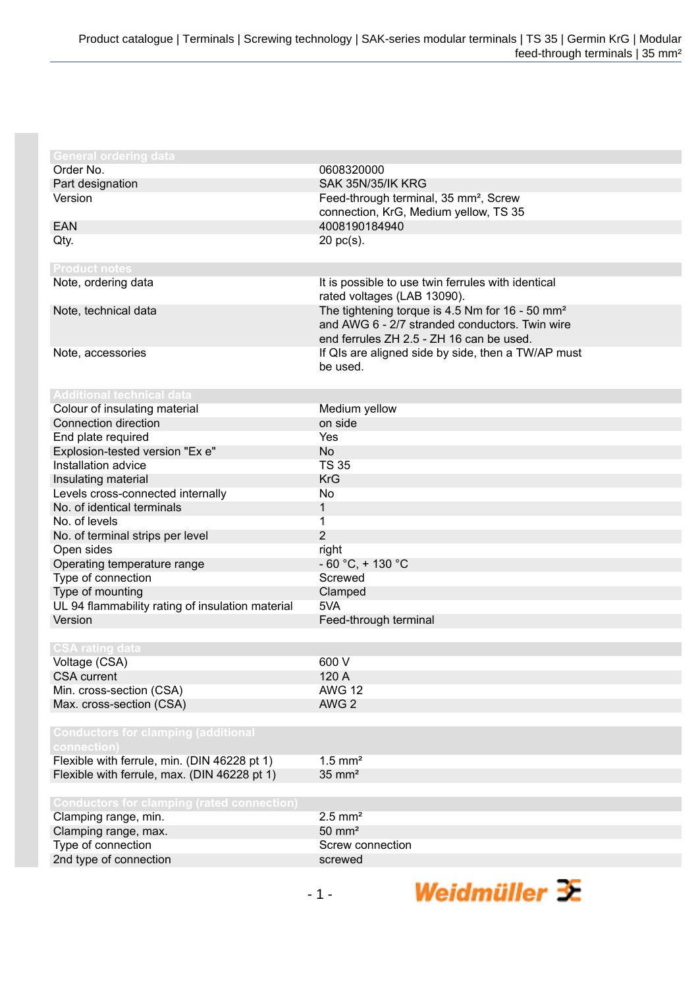| <b>General ordering data</b>                      |                                                             |
|---------------------------------------------------|-------------------------------------------------------------|
| Order No.                                         | 0608320000                                                  |
|                                                   |                                                             |
| Part designation                                  | SAK 35N/35/IK KRG                                           |
| Version                                           | Feed-through terminal, 35 mm <sup>2</sup> , Screw           |
|                                                   | connection, KrG, Medium yellow, TS 35                       |
| <b>EAN</b>                                        | 4008190184940                                               |
| Qty.                                              | $20$ pc(s).                                                 |
|                                                   |                                                             |
| <b>Product notes</b>                              |                                                             |
| Note, ordering data                               | It is possible to use twin ferrules with identical          |
|                                                   | rated voltages (LAB 13090).                                 |
| Note, technical data                              | The tightening torque is 4.5 Nm for 16 - 50 mm <sup>2</sup> |
|                                                   | and AWG 6 - 2/7 stranded conductors. Twin wire              |
|                                                   | end ferrules ZH 2.5 - ZH 16 can be used.                    |
| Note, accessories                                 | If QIs are aligned side by side, then a TW/AP must          |
|                                                   | be used.                                                    |
|                                                   |                                                             |
| <b>Additional technical data</b>                  |                                                             |
| Colour of insulating material                     | Medium yellow                                               |
| Connection direction                              | on side                                                     |
| End plate required                                | Yes                                                         |
| Explosion-tested version "Ex e"                   | <b>No</b>                                                   |
| Installation advice                               | <b>TS 35</b>                                                |
| Insulating material                               | <b>KrG</b>                                                  |
| Levels cross-connected internally                 | No                                                          |
| No. of identical terminals                        | 1                                                           |
| No. of levels                                     | 1                                                           |
| No. of terminal strips per level                  | $\overline{2}$                                              |
| Open sides                                        | right                                                       |
| Operating temperature range                       | $-60 °C$ , + 130 °C                                         |
| Type of connection                                | Screwed                                                     |
| Type of mounting                                  | Clamped                                                     |
| UL 94 flammability rating of insulation material  | 5VA                                                         |
| Version                                           | Feed-through terminal                                       |
|                                                   |                                                             |
| <b>CSA rating data</b>                            |                                                             |
| Voltage (CSA)                                     | 600 V                                                       |
| <b>CSA</b> current                                | 120 A                                                       |
| Min. cross-section (CSA)                          | <b>AWG 12</b>                                               |
| Max. cross-section (CSA)                          | AWG <sub>2</sub>                                            |
|                                                   |                                                             |
| <b>Conductors for clamping (additional</b>        |                                                             |
| connection)                                       |                                                             |
| Flexible with ferrule, min. (DIN 46228 pt 1)      | $1.5$ mm <sup>2</sup>                                       |
| Flexible with ferrule, max. (DIN 46228 pt 1)      | $35 \text{ mm}^2$                                           |
|                                                   |                                                             |
| <b>Conductors for clamping (rated connection)</b> |                                                             |
| Clamping range, min.                              | $2.5$ mm <sup>2</sup>                                       |
| Clamping range, max.                              | $50 \text{ mm}^2$                                           |
|                                                   | Screw connection                                            |
| Type of connection                                | screwed                                                     |
| 2nd type of connection                            |                                                             |
|                                                   |                                                             |

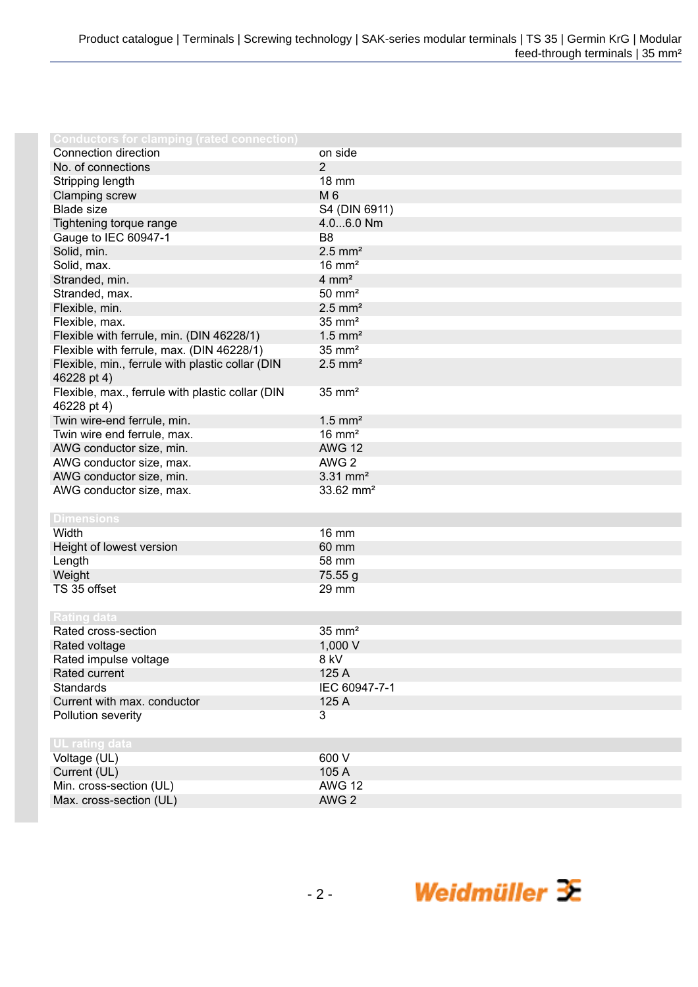| Conductors for clamping (rated connection)       |                        |
|--------------------------------------------------|------------------------|
| Connection direction                             | on side                |
| No. of connections                               | $\overline{2}$         |
| Stripping length                                 | <b>18 mm</b>           |
| Clamping screw                                   | M 6                    |
| <b>Blade size</b>                                | S4 (DIN 6911)          |
| Tightening torque range                          | 4.06.0 Nm              |
| Gauge to IEC 60947-1                             | B <sub>8</sub>         |
| Solid, min.                                      | $2.5$ mm <sup>2</sup>  |
| Solid, max.                                      | $16 \text{ mm}^2$      |
| Stranded, min.                                   | $4 \, \text{mm}^2$     |
| Stranded, max.                                   | $50 \text{ mm}^2$      |
| Flexible, min.                                   | $2.5$ mm <sup>2</sup>  |
| Flexible, max.                                   | $35 \text{ mm}^2$      |
| Flexible with ferrule, min. (DIN 46228/1)        | $1.5$ mm <sup>2</sup>  |
| Flexible with ferrule, max. (DIN 46228/1)        | $35 \text{ mm}^2$      |
| Flexible, min., ferrule with plastic collar (DIN | $2.5$ mm <sup>2</sup>  |
| 46228 pt 4)                                      |                        |
| Flexible, max., ferrule with plastic collar (DIN | $35 \text{ mm}^2$      |
| 46228 pt 4)                                      |                        |
| Twin wire-end ferrule, min.                      | $1.5$ mm <sup>2</sup>  |
| Twin wire end ferrule, max.                      | $16 \text{ mm}^2$      |
| AWG conductor size, min.                         | <b>AWG 12</b>          |
| AWG conductor size, max.                         | AWG <sub>2</sub>       |
| AWG conductor size, min.                         | $3.31$ mm <sup>2</sup> |
| AWG conductor size, max.                         | 33.62 mm <sup>2</sup>  |
|                                                  |                        |
| <b>Dimensions</b>                                |                        |
| Width                                            | <b>16 mm</b>           |
| Height of lowest version                         | 60 mm                  |
| Length                                           | 58 mm                  |
| Weight                                           | 75.55 g                |
| TS 35 offset                                     | 29 mm                  |
|                                                  |                        |
| <b>Rating data</b>                               |                        |
| Rated cross-section                              | $35 \text{ mm}^2$      |
| Rated voltage                                    | 1,000 V                |
| Rated impulse voltage                            | 8 kV                   |
| Rated current                                    | 125 A                  |
| <b>Standards</b>                                 | IEC 60947-7-1          |
| Current with max. conductor                      | 125 A                  |
| Pollution severity                               | 3                      |
|                                                  |                        |
| UL rating data                                   |                        |
| Voltage (UL)                                     | 600 V                  |
| Current (UL)                                     | 105 A                  |
| Min. cross-section (UL)                          | <b>AWG 12</b>          |
| Max. cross-section (UL)                          | AWG <sub>2</sub>       |
|                                                  |                        |

- 2 -